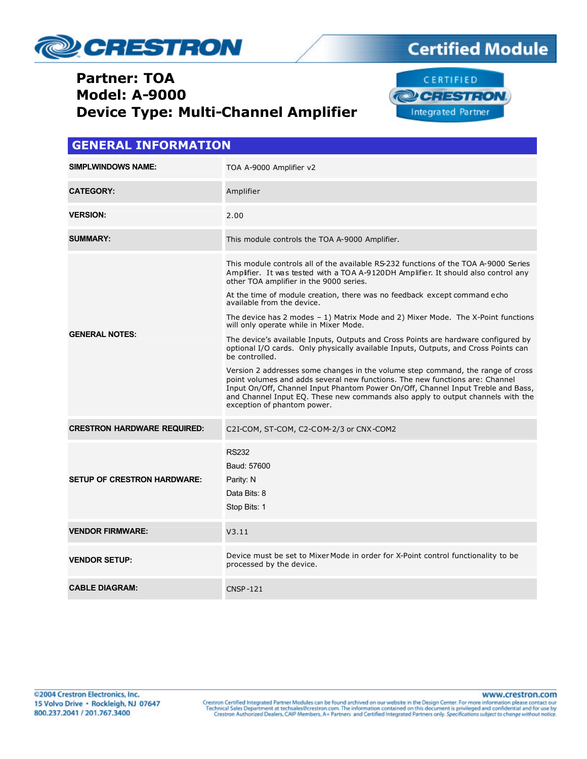

### **Partner: TOA Model: A-9000 Device Type: Multi-Channel Amplifier**



**Certified Module** 

| <b>GENERAL INFORMATION</b>         |                                                                                                                                                                                                                                                                                                                                                                                                                                                                                                                                                                                                                                                                                                                                                                                                                                                                                                                                                                                                                                              |  |  |
|------------------------------------|----------------------------------------------------------------------------------------------------------------------------------------------------------------------------------------------------------------------------------------------------------------------------------------------------------------------------------------------------------------------------------------------------------------------------------------------------------------------------------------------------------------------------------------------------------------------------------------------------------------------------------------------------------------------------------------------------------------------------------------------------------------------------------------------------------------------------------------------------------------------------------------------------------------------------------------------------------------------------------------------------------------------------------------------|--|--|
| <b>SIMPLWINDOWS NAME:</b>          | TOA A-9000 Amplifier v2                                                                                                                                                                                                                                                                                                                                                                                                                                                                                                                                                                                                                                                                                                                                                                                                                                                                                                                                                                                                                      |  |  |
| <b>CATEGORY:</b>                   | Amplifier                                                                                                                                                                                                                                                                                                                                                                                                                                                                                                                                                                                                                                                                                                                                                                                                                                                                                                                                                                                                                                    |  |  |
| <b>VERSION:</b>                    | 2.00                                                                                                                                                                                                                                                                                                                                                                                                                                                                                                                                                                                                                                                                                                                                                                                                                                                                                                                                                                                                                                         |  |  |
| <b>SUMMARY:</b>                    | This module controls the TOA A-9000 Amplifier.                                                                                                                                                                                                                                                                                                                                                                                                                                                                                                                                                                                                                                                                                                                                                                                                                                                                                                                                                                                               |  |  |
| <b>GENERAL NOTES:</b>              | This module controls all of the available RS-232 functions of the TOA A-9000 Series<br>Amplifier. It was tested with a TOA A-9120DH Amplifier. It should also control any<br>other TOA amplifier in the 9000 series.<br>At the time of module creation, there was no feedback except command echo<br>available from the device.<br>The device has $2$ modes $-1$ ) Matrix Mode and $2$ ) Mixer Mode. The X-Point functions<br>will only operate while in Mixer Mode.<br>The device's available Inputs, Outputs and Cross Points are hardware configured by<br>optional I/O cards. Only physically available Inputs, Outputs, and Cross Points can<br>be controlled.<br>Version 2 addresses some changes in the volume step command, the range of cross<br>point volumes and adds several new functions. The new functions are: Channel<br>Input On/Off, Channel Input Phantom Power On/Off, Channel Input Treble and Bass,<br>and Channel Input EQ. These new commands also apply to output channels with the<br>exception of phantom power. |  |  |
| <b>CRESTRON HARDWARE REQUIRED:</b> | C2I-COM, ST-COM, C2-COM-2/3 or CNX-COM2                                                                                                                                                                                                                                                                                                                                                                                                                                                                                                                                                                                                                                                                                                                                                                                                                                                                                                                                                                                                      |  |  |
| <b>SETUP OF CRESTRON HARDWARE:</b> | <b>RS232</b><br>Baud: 57600<br>Parity: N<br>Data Bits: 8<br>Stop Bits: 1                                                                                                                                                                                                                                                                                                                                                                                                                                                                                                                                                                                                                                                                                                                                                                                                                                                                                                                                                                     |  |  |
| <b>VENDOR FIRMWARE:</b>            | V3.11                                                                                                                                                                                                                                                                                                                                                                                                                                                                                                                                                                                                                                                                                                                                                                                                                                                                                                                                                                                                                                        |  |  |
| <b>VENDOR SETUP:</b>               | Device must be set to Mixer Mode in order for X-Point control functionality to be<br>processed by the device.                                                                                                                                                                                                                                                                                                                                                                                                                                                                                                                                                                                                                                                                                                                                                                                                                                                                                                                                |  |  |
| <b>CABLE DIAGRAM:</b>              | <b>CNSP-121</b>                                                                                                                                                                                                                                                                                                                                                                                                                                                                                                                                                                                                                                                                                                                                                                                                                                                                                                                                                                                                                              |  |  |

www.crestron.com Crestron Certified Integrated Partner Modules can be found archived on our website in the Design Center. For more information please contact our<br>Technical Sales Department at techsales@crestron.com. The information contain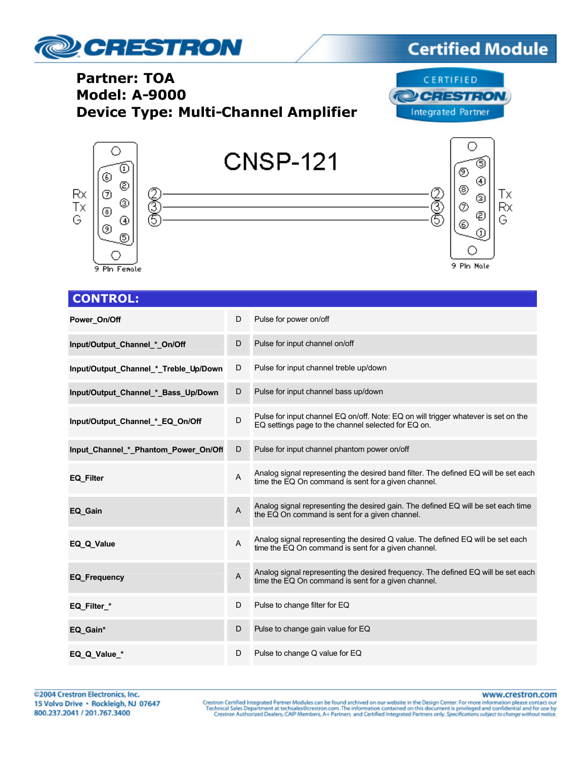

## **Certified Module**

### **Partner: TOA Model: A-9000 Device Type: Multi-Channel Amplifier**





| <b>CONTROL:</b>                       |                |                                                                                                                                            |
|---------------------------------------|----------------|--------------------------------------------------------------------------------------------------------------------------------------------|
| Power_On/Off                          | D              | Pulse for power on/off                                                                                                                     |
| Input/Output Channel * On/Off         | D              | Pulse for input channel on/off                                                                                                             |
| Input/Output_Channel_*_Treble_Up/Down | D              | Pulse for input channel treble up/down                                                                                                     |
| Input/Output_Channel_*_Bass_Up/Down   | D              | Pulse for input channel bass up/down                                                                                                       |
| Input/Output Channel * EQ On/Off      | D              | Pulse for input channel EQ on/off. Note: EQ on will trigger whatever is set on the<br>EQ settings page to the channel selected for EQ on.  |
| Input_Channel_*_Phantom_Power_On/Off  | D              | Pulse for input channel phantom power on/off                                                                                               |
| <b>EQ Filter</b>                      | $\overline{A}$ | Analog signal representing the desired band filter. The defined EQ will be set each<br>time the EQ On command is sent for a given channel. |
| EQ Gain                               | $\overline{A}$ | Analog signal representing the desired gain. The defined EQ will be set each time<br>the EQ On command is sent for a given channel.        |
| EQ Q Value                            | A              | Analog signal representing the desired Q value. The defined EQ will be set each<br>time the EQ On command is sent for a given channel.     |
| <b>EQ Frequency</b>                   | $\overline{A}$ | Analog signal representing the desired frequency. The defined EQ will be set each<br>time the EQ On command is sent for a given channel.   |
| EQ Filter *                           | D              | Pulse to change filter for EQ                                                                                                              |
| EQ Gain*                              | D              | Pulse to change gain value for EQ                                                                                                          |
| EQ Q Value *                          | D              | Pulse to change Q value for EQ                                                                                                             |

www.crestron.com

Crestron Certified Integrated Partner Modules can be found archived on our website in the Design Center. For more information please contact our<br>Technical Sales Department at techsales@crestron.com. The information contain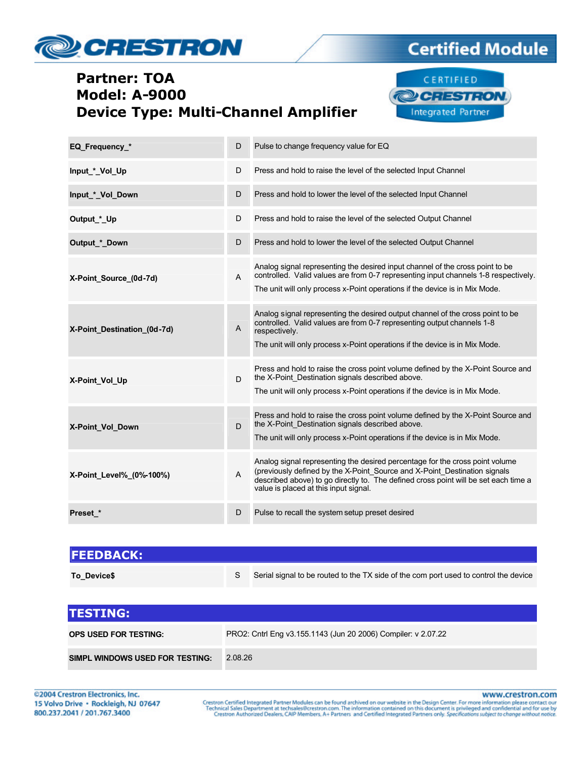# **CRESTRON**

### **Partner: TOA Model: A-9000 Device Type: Multi-Channel Amplifier**



**Certified Module** 

| EQ Frequency *              | D              | Pulse to change frequency value for EQ                                                                                                                                                                                                                                                    |
|-----------------------------|----------------|-------------------------------------------------------------------------------------------------------------------------------------------------------------------------------------------------------------------------------------------------------------------------------------------|
| Input_*_Vol_Up              | D              | Press and hold to raise the level of the selected Input Channel                                                                                                                                                                                                                           |
| Input * Vol Down            | D              | Press and hold to lower the level of the selected Input Channel                                                                                                                                                                                                                           |
| Output_*_Up                 | D              | Press and hold to raise the level of the selected Output Channel                                                                                                                                                                                                                          |
| Output * Down               | D              | Press and hold to lower the level of the selected Output Channel                                                                                                                                                                                                                          |
| X-Point_Source_(0d-7d)      | A              | Analog signal representing the desired input channel of the cross point to be<br>controlled. Valid values are from 0-7 representing input channels 1-8 respectively.<br>The unit will only process x-Point operations if the device is in Mix Mode.                                       |
| X-Point_Destination_(0d-7d) | $\overline{A}$ | Analog signal representing the desired output channel of the cross point to be<br>controlled. Valid values are from 0-7 representing output channels 1-8<br>respectively.<br>The unit will only process x-Point operations if the device is in Mix Mode.                                  |
| X-Point Vol Up              | D              | Press and hold to raise the cross point volume defined by the X-Point Source and<br>the X-Point_Destination signals described above.<br>The unit will only process x-Point operations if the device is in Mix Mode.                                                                       |
| X-Point Vol Down            | D              | Press and hold to raise the cross point volume defined by the X-Point Source and<br>the X-Point_Destination signals described above.<br>The unit will only process x-Point operations if the device is in Mix Mode.                                                                       |
| X-Point Level% (0%-100%)    | A              | Analog signal representing the desired percentage for the cross point volume<br>(previously defined by the X-Point_Source and X-Point_Destination signals<br>described above) to go directly to. The defined cross point will be set each time a<br>value is placed at this input signal. |
| Preset *                    | D              | Pulse to recall the system setup preset desired                                                                                                                                                                                                                                           |

| <b>FEEDBACK:</b> |                                                                                      |
|------------------|--------------------------------------------------------------------------------------|
| To Device\$      | Serial signal to be routed to the TX side of the com port used to control the device |

| <b>ITESTING:</b>                |                                                               |
|---------------------------------|---------------------------------------------------------------|
| OPS USED FOR TESTING:           | PRO2: Cntrl Eng v3.155.1143 (Jun 20 2006) Compiler: v 2.07.22 |
| SIMPL WINDOWS USED FOR TESTING: | 2.08.26                                                       |

www.crestron.com

Crestron Certified Integrated Partner Modules can be found archived on our website in the Design Center. For more information please contact our<br>Technical Sales Department at techsales@crestron.com. The information contain